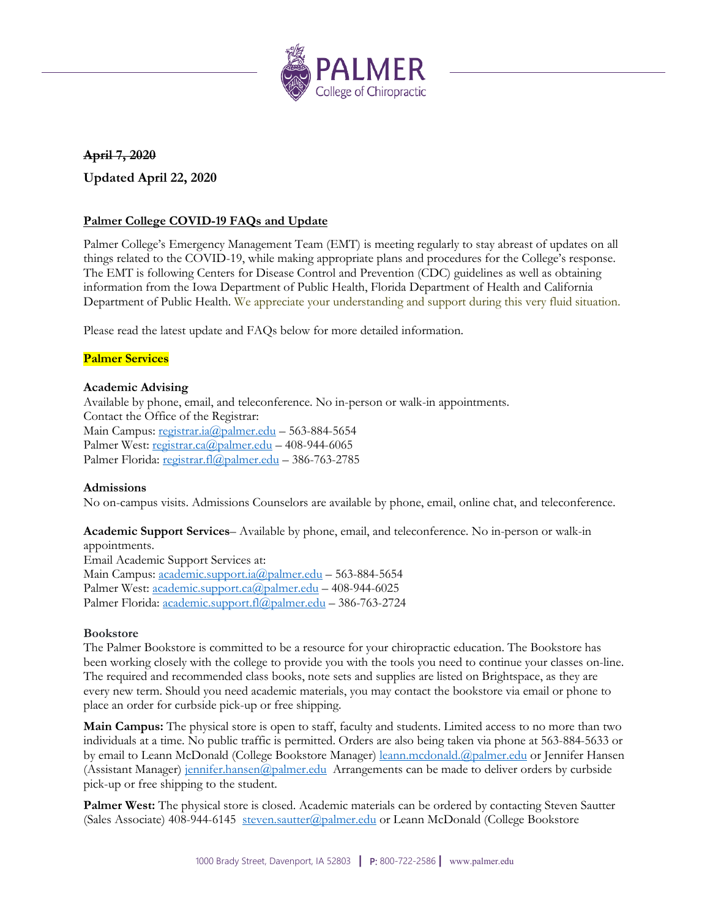

# **April 7, 2020**

**Updated April 22, 2020**

# **Palmer College COVID-19 FAQs and Update**

Palmer College's Emergency Management Team (EMT) is meeting regularly to stay abreast of updates on all things related to the COVID-19, while making appropriate plans and procedures for the College's response. The EMT is following Centers for Disease Control and Prevention (CDC) guidelines as well as obtaining information from the Iowa Department of Public Health, Florida Department of Health and California Department of Public Health. We appreciate your understanding and support during this very fluid situation.

Please read the latest update and FAQs below for more detailed information.

## **Palmer Services**

### **Academic Advising**

Available by phone, email, and teleconference. No in-person or walk-in appointments. Contact the Office of the Registrar: Main Campus[: registrar.ia@palmer.edu](mailto:registrar.ia@palmer.edu) – 563-884-5654 Palmer West: [registrar.ca@palmer.edu](mailto:registrar.ca@palmer.edu) - 408-944-6065 Palmer Florida: [registrar.fl@palmer.edu](mailto:registrar.fl@palmer.edu) - 386-763-2785

### **Admissions**

No on-campus visits. Admissions Counselors are available by phone, email, online chat, and teleconference.

**Academic Support Services**– Available by phone, email, and teleconference. No in-person or walk-in appointments. Email Academic Support Services at: Main Campus[: academic.support.ia@palmer.edu](mailto:academic.support.ia@palmer.edu) – 563-884-5654 Palmer West: [academic.support.ca@palmer.edu](mailto:academic.support.ca@palmer.edu) - 408-944-6025 Palmer Florida: [academic.support.fl@palmer.edu](mailto:academic.support.fl@palmer.edu) – 386-763-2724

### **Bookstore**

The Palmer Bookstore is committed to be a resource for your chiropractic education. The Bookstore has been working closely with the college to provide you with the tools you need to continue your classes on-line. The required and recommended class books, note sets and supplies are listed on Brightspace, as they are every new term. Should you need academic materials, you may contact the bookstore via email or phone to place an order for curbside pick-up or free shipping.

**Main Campus:** The physical store is open to staff, faculty and students. Limited access to no more than two individuals at a time. No public traffic is permitted. Orders are also being taken via phone at 563-884-5633 or by email to Leann McDonald (College Bookstore Manager) [leann.mcdonald.@palmer.edu](mailto:leann.mcdonald.@palmer.edu) or Jennifer Hansen (Assistant Manager) [jennifer.hansen@palmer.edu](mailto:jennifer.hansen@palmer.edu) Arrangements can be made to deliver orders by curbside pick-up or free shipping to the student.

**Palmer West:** The physical store is closed. Academic materials can be ordered by contacting Steven Sautter (Sales Associate) 408-944-6145 [steven.sautter@palmer.edu](mailto:steven.sautter@palmer.edu) or Leann McDonald (College Bookstore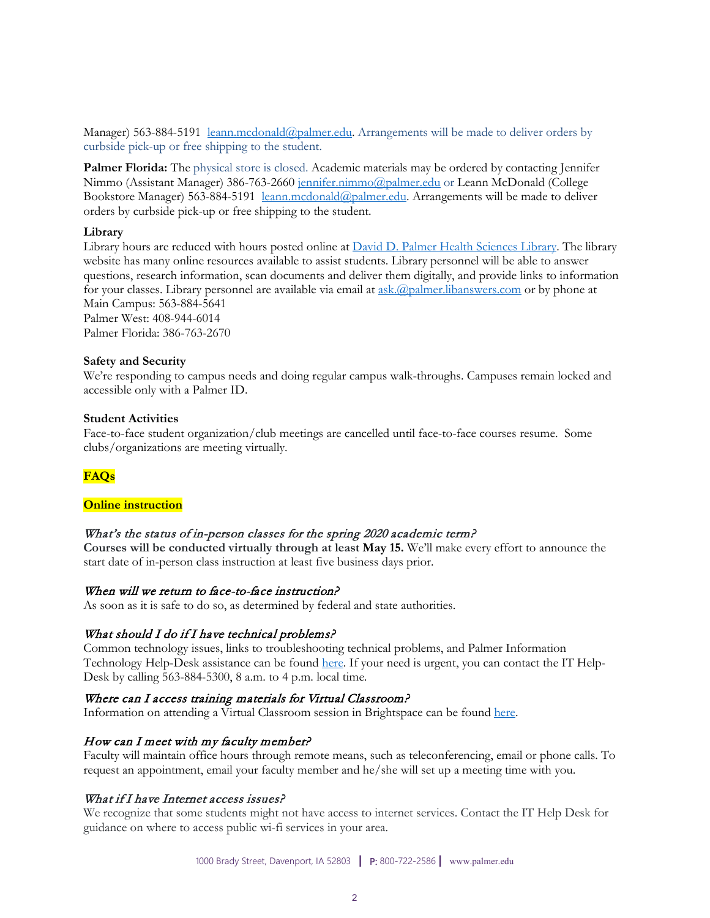Manager) 563-884-5191 [leann.mcdonald@palmer.edu.](mailto:leann.mcdonald@palmer.edu) Arrangements will be made to deliver orders by curbside pick-up or free shipping to the student.

**Palmer Florida:** The physical store is closed. Academic materials may be ordered by contacting Jennifer Nimmo (Assistant Manager) 386-763-2660 [jennifer.nimmo@palmer.edu](mailto:jennifer.nimmo@palmer.edu) or Leann McDonald (College Bookstore Manager) 563-884-5191 [leann.mcdonald@palmer.edu.](mailto:leann.mcdonald@palmer.edu) Arrangements will be made to deliver orders by curbside pick-up or free shipping to the student.

#### **Library**

Library hours are reduced with hours posted online at [David D. Palmer Health Sciences Library.](https://library.palmer.edu/home?_ga=2.156591099.1520181624.1586178276-1834194926.1580219158) The library website has many online resources available to assist students. Library personnel will be able to answer questions, research information, scan documents and deliver them digitally, and provide links to information for your classes. Library personnel are available via email at [ask.@palmer.libanswers.com](mailto:ask.@palmer.libanswers.com) or by phone at Main Campus: 563-884-5641 Palmer West: 408-944-6014

Palmer Florida: 386-763-2670

#### **Safety and Security**

We're responding to campus needs and doing regular campus walk-throughs. Campuses remain locked and accessible only with a Palmer ID.

#### **Student Activities**

Face-to-face student organization/club meetings are cancelled until face-to-face courses resume. Some clubs/organizations are meeting virtually.

# **FAQs**

#### **Online instruction**

### What's the status of in-person classes for the spring 2020 academic term?

**Courses will be conducted virtually through at least May 15.** We'll make every effort to announce the start date of in-person class instruction at least five business days prior.

### When will we return to face-to-face instruction?

As soon as it is safe to do so, as determined by federal and state authorities.

### What should I do if I have technical problems?

Common technology issues, links to troubleshooting technical problems, and Palmer Information Technology Help-Desk assistance can be foun[d here.](http://palmer.service-now.com/sp) If your need is urgent, you can contact the IT Help-Desk by calling 563-884-5300, 8 a.m. to 4 p.m. local time.

#### Where can I access training materials for Virtual Classroom?

Information on attending a Virtual Classroom session in Brightspace can be found [here.](https://palmer.service-now.com/sp?id=kb_article&sys_id=8822c0afdbb30c10288e273605961976&table=kb_knowledge)

### How can I meet with my faculty member?

Faculty will maintain office hours through remote means, such as teleconferencing, email or phone calls. To request an appointment, email your faculty member and he/she will set up a meeting time with you.

### What if I have Internet access issues?

We recognize that some students might not have access to internet services. Contact the IT Help Desk for guidance on where to access public wi-fi services in your area.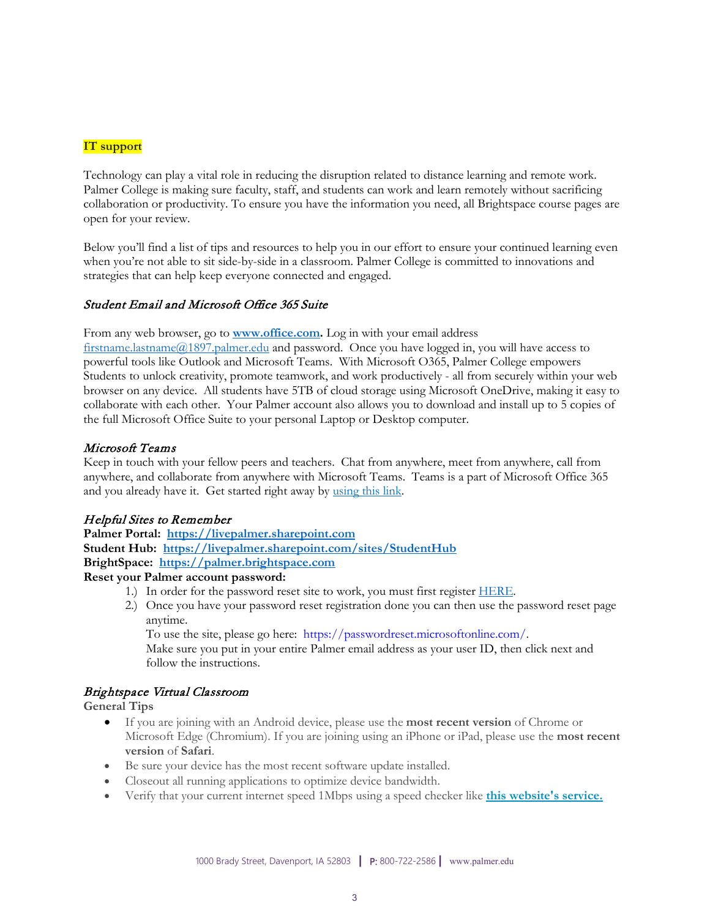# **IT support**

Technology can play a vital role in reducing the disruption related to distance learning and remote work. Palmer College is making sure faculty, staff, and students can work and learn remotely without sacrificing collaboration or productivity. To ensure you have the information you need, all Brightspace course pages are open for your review.

Below you'll find a list of tips and resources to help you in our effort to ensure your continued learning even when you're not able to sit side-by-side in a classroom. Palmer College is committed to innovations and strategies that can help keep everyone connected and engaged.

#### Student Email and Microsoft Office 365 Suite

From any web browser, go to **[www.office.com.](http://www.office.com/)** Log in with your email address [firstname.lastname@1897.palmer.edu](mailto:firstname.lastname@1897.palmer.edu) and password. Once you have logged in, you will have access to powerful tools like Outlook and Microsoft Teams. With Microsoft O365, Palmer College empowers Students to unlock creativity, promote teamwork, and work productively - all from securely within your web browser on any device. All students have 5TB of cloud storage using Microsoft OneDrive, making it easy to collaborate with each other. Your Palmer account also allows you to download and install up to 5 copies of the full Microsoft Office Suite to your personal Laptop or Desktop computer.

#### Microsoft Teams

Keep in touch with your fellow peers and teachers. Chat from anywhere, meet from anywhere, call from anywhere, and collaborate from anywhere with Microsoft Teams. Teams is a part of Microsoft Office 365 and you already have it. Get started right away by [using this link.](https://go.microsoft.com/fwlink/p/?linkid=873020&lm=deeplink&lmsrc=homePageWeb&cmpid=WebSignIn)

### Helpful Sites to Remember

**Palmer Portal: [https://livepalmer.sharepoint.com](https://livepalmer.sharepoint.com/) Student Hub: <https://livepalmer.sharepoint.com/sites/StudentHub>**

**BrightSpace: [https://palmer.brightspace.com](https://palmer.brightspace.com/)**

#### **Reset your Palmer account password:**

- 1.) In order for the password reset site to work, you must first register **HERE**.
- 2.) Once you have your password reset registration done you can then use the password reset page anytime.

To use the site, please go here: [https://passwordreset.microsoftonline.com/.](https://passwordreset.microsoftonline.com/)

Make sure you put in your entire Palmer email address as your user ID, then click next and follow the instructions.

### Brightspace Virtual Classroom

#### **General Tips**

- If you are joining with an Android device, please use the **most recent version** of Chrome or Microsoft Edge (Chromium). If you are joining using an iPhone or iPad, please use the **most recent version** of **Safari**.
- Be sure your device has the most recent software update installed.
- Closeout all running applications to optimize device bandwidth.
- Verify that your current internet speed 1Mbps using a speed checker like **[this website's service.](https://www.speedtest.net/)**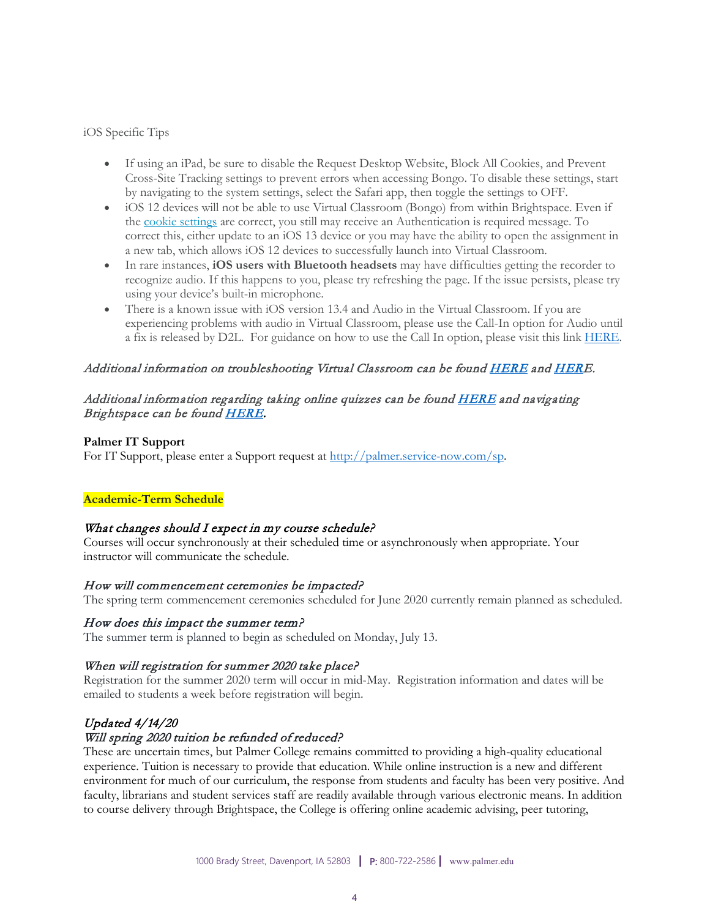### iOS Specific Tips

- If using an iPad, be sure to disable the Request Desktop Website, Block All Cookies, and Prevent Cross-Site Tracking settings to prevent errors when accessing Bongo. To disable these settings, start by navigating to the system settings, select the Safari app, then toggle the settings to OFF.
- iOS 12 devices will not be able to use Virtual Classroom (Bongo) from within Brightspace. Even if the [cookie settings](https://bongolearn.zendesk.com/hc/articles/360009855033) are correct, you still may receive an Authentication is required message. To correct this, either update to an iOS 13 device or you may have the ability to open the assignment in a new tab, which allows iOS 12 devices to successfully launch into Virtual Classroom.
- In rare instances, **iOS users with Bluetooth headsets** may have difficulties getting the recorder to recognize audio. If this happens to you, please try refreshing the page. If the issue persists, please try using your device's built-in microphone.
- There is a known issue with iOS version 13.4 and Audio in the Virtual Classroom. If you are experiencing problems with audio in Virtual Classroom, please use the Call-In option for Audio until a fix is released by D2L. For guidance on how to use the Call In option, please visit this link [HERE.](https://bongolearn.zendesk.com/hc/en-us/articles/360012767354-Call-In-to-Join-Virtual-Classroom)

### Additional information on troubleshooting Virtual Classroom can be foun[d HERE](https://palmer.service-now.com/sp?id=kb_article&sys_id=a5012963dba30810544004c2ca961939) an[d HERE](https://palmer.service-now.com/sp?id=kb_article&sys_id=b5a05523db230810544004c2ca9619e5).

### Additional information regarding taking online quizzes can be found **HERE** and navigating Brightspace can be found **HERE**.

#### **Palmer IT Support**

For IT Support, please enter a Support request at [http://palmer.service-now.com/sp.](http://palmer.service-now.com/sp)

### **Academic-Term Schedule**

### What changes should I expect in my course schedule?

Courses will occur synchronously at their scheduled time or asynchronously when appropriate. Your instructor will communicate the schedule.

#### How will commencement ceremonies be impacted?

The spring term commencement ceremonies scheduled for June 2020 currently remain planned as scheduled.

#### How does this impact the summer term?

The summer term is planned to begin as scheduled on Monday, July 13.

### When will registration for summer 2020 take place?

Registration for the summer 2020 term will occur in mid-May. Registration information and dates will be emailed to students a week before registration will begin.

# Updated 4/14/20

### Will spring 2020 tuition be refunded of reduced?

These are uncertain times, but Palmer College remains committed to providing a high-quality educational experience. Tuition is necessary to provide that education. While online instruction is a new and different environment for much of our curriculum, the response from students and faculty has been very positive. And faculty, librarians and student services staff are readily available through various electronic means. In addition to course delivery through Brightspace, the College is offering online academic advising, peer tutoring,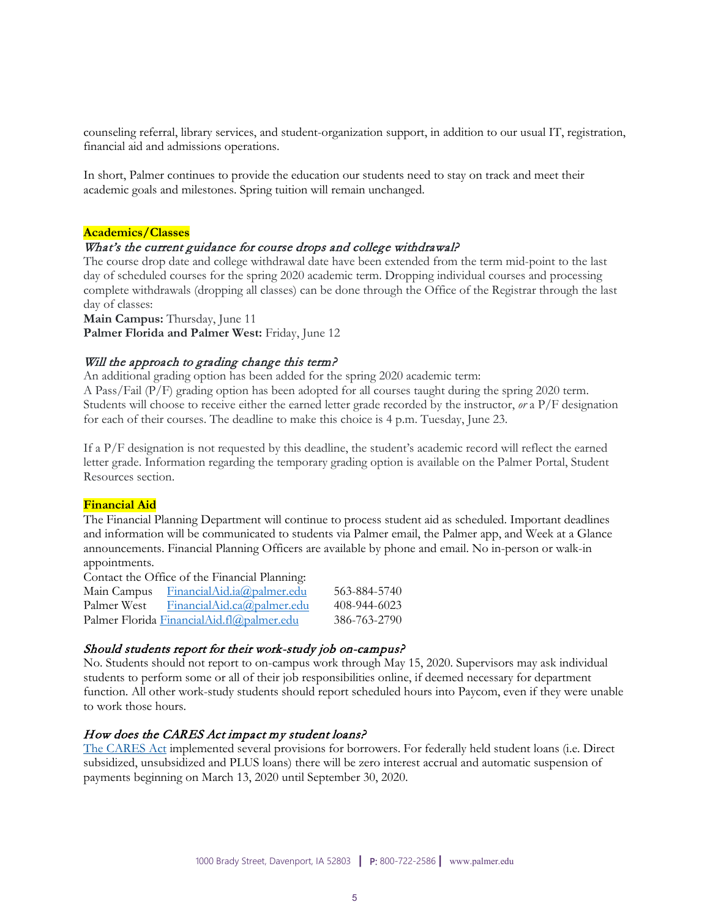counseling referral, library services, and student-organization support, in addition to our usual IT, registration, financial aid and admissions operations.

In short, Palmer continues to provide the education our students need to stay on track and meet their academic goals and milestones. Spring tuition will remain unchanged.

#### **Academics/Classes**

#### What's the current guidance for course drops and college withdrawal?

The course drop date and college withdrawal date have been extended from the term mid-point to the last day of scheduled courses for the spring 2020 academic term. Dropping individual courses and processing complete withdrawals (dropping all classes) can be done through the Office of the Registrar through the last day of classes:

**Main Campus:** Thursday, June 11

**Palmer Florida and Palmer West:** Friday, June 12

#### Will the approach to grading change this term?

An additional grading option has been added for the spring 2020 academic term:

A Pass/Fail (P/F) grading option has been adopted for all courses taught during the spring 2020 term. Students will choose to receive either the earned letter grade recorded by the instructor, *or* a P/F designation for each of their courses. The deadline to make this choice is 4 p.m. Tuesday, June 23.

If a P/F designation is not requested by this deadline, the student's academic record will reflect the earned letter grade. Information regarding the temporary grading option is available on the Palmer Portal, Student Resources section.

#### **Financial Aid**

The Financial Planning Department will continue to process student aid as scheduled. Important deadlines and information will be communicated to students via Palmer email, the Palmer app, and Week at a Glance announcements. Financial Planning Officers are available by phone and email. No in-person or walk-in appointments.

Contact the Office of the Financial Planning:

| Main Campus | FinancialAid.ia@palmer.edu                | 563-884-5740 |
|-------------|-------------------------------------------|--------------|
| Palmer West | FinancialAid.ca@palmer.edu                | 408-944-6023 |
|             | Palmer Florida FinancialAid.fl@palmer.edu | 386-763-2790 |

#### Should students report for their work-study job on-campus?

No. Students should not report to on-campus work through May 15, 2020. Supervisors may ask individual students to perform some or all of their job responsibilities online, if deemed necessary for department function. All other work-study students should report scheduled hours into Paycom, even if they were unable to work those hours.

#### How does the CARES Act impact my student loans?

[The CARES Act](https://www.congress.gov/bill/116th-congress/senate-bill/3548/text) implemented several provisions for borrowers. For federally held student loans (i.e. Direct subsidized, unsubsidized and PLUS loans) there will be zero interest accrual and automatic suspension of payments beginning on March 13, 2020 until September 30, 2020.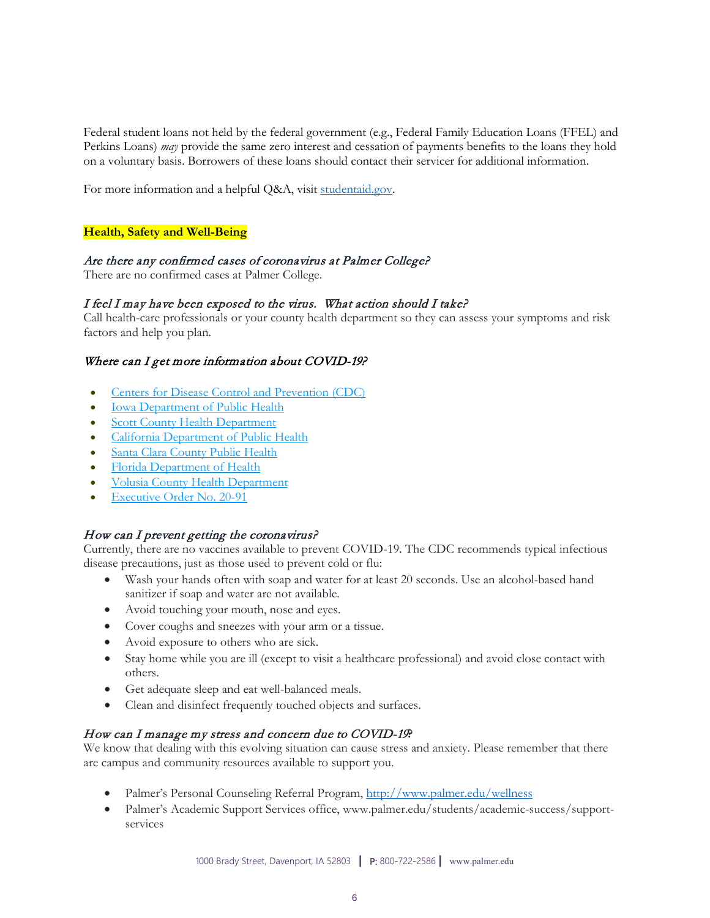Federal student loans not held by the federal government (e.g., Federal Family Education Loans (FFEL) and Perkins Loans) *may* provide the same zero interest and cessation of payments benefits to the loans they hold on a voluntary basis. Borrowers of these loans should contact their servicer for additional information.

For more information and a helpful Q&A, visit studentaid.gov.

### **Health, Safety and Well-Being**

#### Are there any confirmed cases of coronavirus at Palmer College?

There are no confirmed cases at Palmer College.

#### I feel I may have been exposed to the virus. What action should I take?

Call health-care professionals or your county health department so they can assess your symptoms and risk factors and help you plan.

#### Where can I get more information about COVID-19?

- [Centers for Disease Control and Prevention \(CDC\)](https://www.cdc.gov/coronavirus/2019-nCoV/index.html)
- [Iowa Department of Public Health](https://idph.iowa.gov/)
- **[Scott County Health Department](https://www.scottcountyiowa.com/health)**
- [California Department of Public Health](https://www.cdph.ca.gov/Programs/CID/DCDC/Pages/Immunization/ncov2019.aspx)
- [Santa Clara County Public Health](https://www.sccgov.org/sites/phd/Pages/phd.aspx)
- [Florida Department of Health](http://www.floridahealth.gov/diseases-and-conditions/COVID-19/index.html)
- [Volusia County Health Department](http://volusia.floridahealth.gov/)
- [Executive Order No. 20-91](https://www.flgov.com/wp-content/uploads/orders/2020/EO_20-91.pdf)

#### How can I prevent getting the coronavirus?

Currently, there are no vaccines available to prevent COVID-19. The CDC recommends typical infectious disease precautions, just as those used to prevent cold or flu:

- Wash your hands often with soap and water for at least 20 seconds. Use an alcohol-based hand sanitizer if soap and water are not available.
- Avoid touching your mouth, nose and eyes.
- Cover coughs and sneezes with your arm or a tissue.
- Avoid exposure to others who are sick.
- Stay home while you are ill (except to visit a healthcare professional) and avoid close contact with others.
- Get adequate sleep and eat well-balanced meals.
- Clean and disinfect frequently touched objects and surfaces.

#### How can I manage my stress and concern due to COVID-19**?**

We know that dealing with this evolving situation can cause stress and anxiety. Please remember that there are campus and community resources available to support you.

- Palmer's Personal Counseling Referral Program,<http://www.palmer.edu/wellness>
- Palmer's Academic Support Services office, www.palmer.edu/students/academic-success/supportservices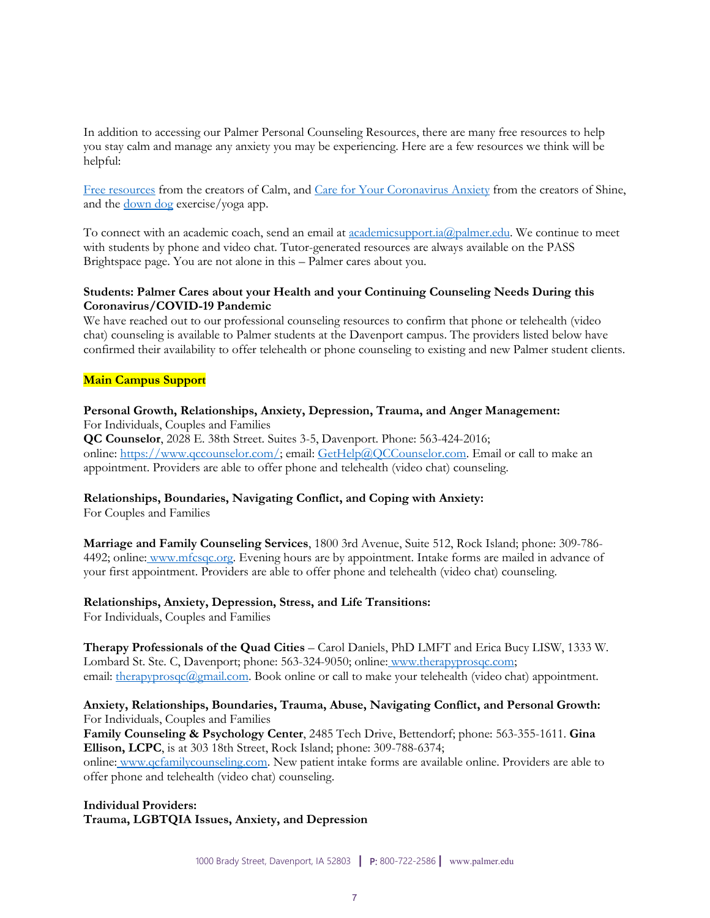In addition to accessing our Palmer Personal Counseling Resources, there are many free resources to help you stay calm and manage any anxiety you may be experiencing. Here are a few resources we think will be helpful:

[Free resources](https://www.calm.com/blog/free-resources) from the creators of Calm, and [Care for Your Coronavirus Anxiety](https://www.virusanxiety.com/) from the creators of Shine, and the <u>[down dog](https://www.downdogapp.com/)</u> exercise/yoga app.

To connect with an academic coach, send an email at <u>academicsupport.ia@palmer.edu</u>. We continue to meet with students by phone and video chat. Tutor-generated resources are always available on the PASS Brightspace page. You are not alone in this – Palmer cares about you.

#### **Students: Palmer Cares about your Health and your Continuing Counseling Needs During this Coronavirus/COVID-19 Pandemic**

We have reached out to our professional counseling resources to confirm that phone or telehealth (video chat) counseling is available to Palmer students at the Davenport campus. The providers listed below have confirmed their availability to offer telehealth or phone counseling to existing and new Palmer student clients.

#### **Main Campus Support**

#### **Personal Growth, Relationships, Anxiety, Depression, Trauma, and Anger Management:**

For Individuals, Couples and Families

**QC Counselor**, 2028 E. 38th Street. Suites 3-5, Davenport. Phone: 563-424-2016; online: [https://www.qccounselor.com/;](https://www.qccounselor.com/) email: [GetHelp@QCCounselor.com.](mailto:GetHelp@QCCounselor.com) Email or call to make an appointment. Providers are able to offer phone and telehealth (video chat) counseling.

#### **Relationships, Boundaries, Navigating Conflict, and Coping with Anxiety:**

For Couples and Families

**Marriage and Family Counseling Services**, 1800 3rd Avenue, Suite 512, Rock Island; phone: 309-786 4492; online: [www.mfcsqc.org.](https://www.mfcsqc.org/) Evening hours are by appointment. Intake forms are mailed in advance of your first appointment. Providers are able to offer phone and telehealth (video chat) counseling.

#### **Relationships, Anxiety, Depression, Stress, and Life Transitions:**

For Individuals, Couples and Families

**Therapy Professionals of the Quad Cities** – Carol Daniels, PhD LMFT and Erica Bucy LISW, 1333 W. Lombard St. Ste. C, Davenport; phone: 563-324-9050; online: www.therapyprosqc.com; email: therapyprosqc@gmail.com. Book online or call to make your telehealth (video chat) appointment.

### **Anxiety, Relationships, Boundaries, Trauma, Abuse, Navigating Conflict, and Personal Growth:** For Individuals, Couples and Families

**Family Counseling & Psychology Center**, 2485 Tech Drive, Bettendorf; phone: 563-355-1611. **Gina Ellison, LCPC**, is at 303 18th Street, Rock Island; phone: 309-788-6374;

online: [www.qcfamilycounseling.com.](http://www.qcfamilycounseling.com/) New patient intake forms are available online. Providers are able to offer phone and telehealth (video chat) counseling.

**Individual Providers: Trauma, LGBTQIA Issues, Anxiety, and Depression**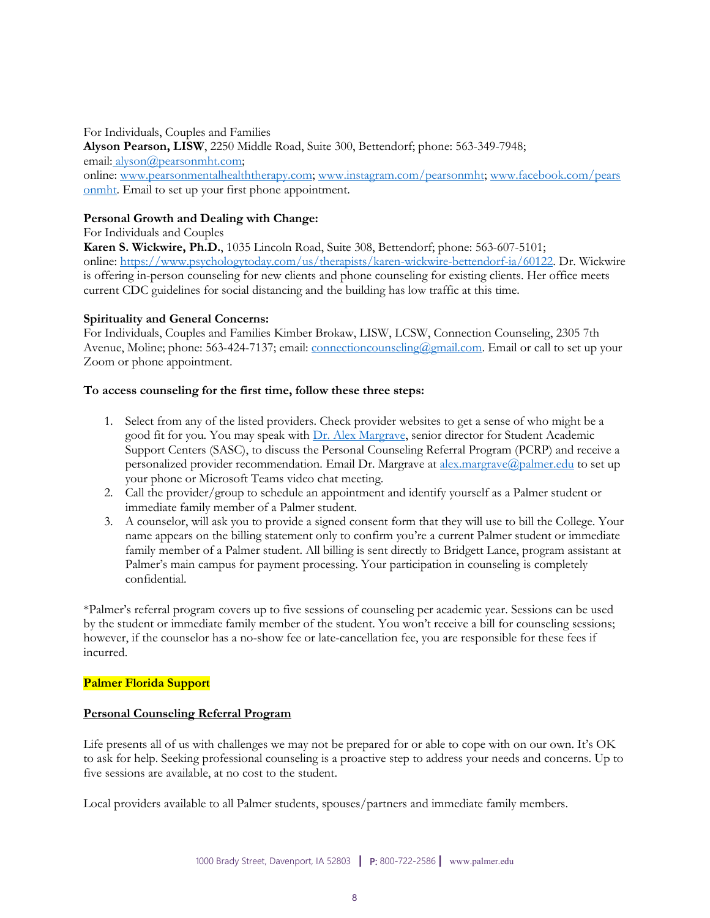For Individuals, Couples and Families **Alyson Pearson, LISW**, 2250 Middle Road, Suite 300, Bettendorf; phone: 563-349-7948; email: [alyson@pearsonmht.com;](mailto:alyson@pearsonmht.com) online: [www.pearsonmentalhealththerapy.com;](http://www.pearsonmentalhealththerapy.com/) [www.instagram.com/pearsonmht;](https://www.instagram.com/pearsonmht/) [www.facebook.com/pears](https://www.facebook.com/PearsonMHT/) [onmht.](https://www.facebook.com/PearsonMHT/) Email to set up your first phone appointment.

### **Personal Growth and Dealing with Change:**

For Individuals and Couples

**Karen S. Wickwire, Ph.D.**, 1035 Lincoln Road, Suite 308, Bettendorf; phone: 563-607-5101; online: [https://www.psychologytoday.com/us/therapists/karen-wickwire-bettendorf-ia/60122.](https://www.psychologytoday.com/us/therapists/karen-wickwire-bettendorf-ia/60122) Dr. Wickwire is offering in-person counseling for new clients and phone counseling for existing clients. Her office meets current CDC guidelines for social distancing and the building has low traffic at this time.

### **Spirituality and General Concerns:**

For Individuals, Couples and Families Kimber Brokaw, LISW, LCSW, Connection Counseling, 2305 7th Avenue, Moline; phone: 563-424-7137; email: connectioncounseling@gmail.com. Email or call to set up your Zoom or phone appointment.

#### **To access counseling for the first time, follow these three steps:**

- 1. Select from any of the listed providers. Check provider websites to get a sense of who might be a good fit for you. You may speak with [Dr. Alex Margrave,](mailto:alex.margrave@palmer.edu) senior director for Student Academic Support Centers (SASC), to discuss the Personal Counseling Referral Program (PCRP) and receive a personalized provider recommendation. Email Dr. Margrave at [alex.margrave@palmer.edu](mailto:alex.margrave@palmer.edu) to set up your phone or Microsoft Teams video chat meeting.
- 2. Call the provider/group to schedule an appointment and identify yourself as a Palmer student or immediate family member of a Palmer student.
- 3. A counselor, will ask you to provide a signed consent form that they will use to bill the College. Your name appears on the billing statement only to confirm you're a current Palmer student or immediate family member of a Palmer student. All billing is sent directly to Bridgett Lance, program assistant at Palmer's main campus for payment processing. Your participation in counseling is completely confidential.

\*Palmer's referral program covers up to five sessions of counseling per academic year. Sessions can be used by the student or immediate family member of the student. You won't receive a bill for counseling sessions; however, if the counselor has a no-show fee or late-cancellation fee, you are responsible for these fees if incurred.

#### **Palmer Florida Support**

#### **Personal Counseling Referral Program**

Life presents all of us with challenges we may not be prepared for or able to cope with on our own. It's OK to ask for help. Seeking professional counseling is a proactive step to address your needs and concerns. Up to five sessions are available, at no cost to the student.

Local providers available to all Palmer students, spouses/partners and immediate family members.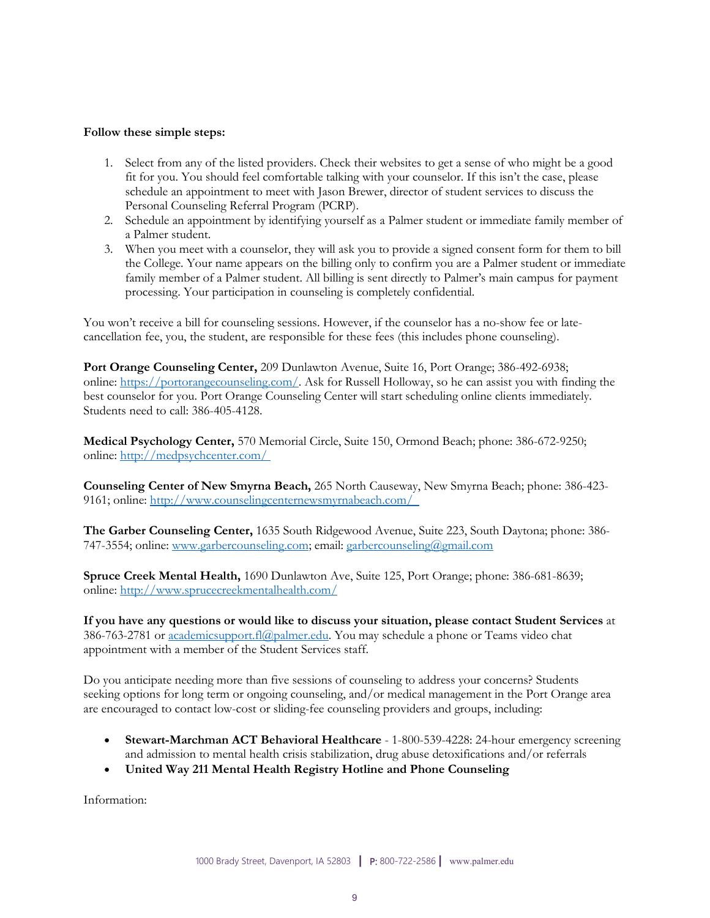#### **Follow these simple steps:**

- 1. Select from any of the listed providers. Check their websites to get a sense of who might be a good fit for you. You should feel comfortable talking with your counselor. If this isn't the case, please schedule an appointment to meet with Jason Brewer, director of student services to discuss the Personal Counseling Referral Program (PCRP).
- 2. Schedule an appointment by identifying yourself as a Palmer student or immediate family member of a Palmer student.
- 3. When you meet with a counselor, they will ask you to provide a signed consent form for them to bill the College. Your name appears on the billing only to confirm you are a Palmer student or immediate family member of a Palmer student. All billing is sent directly to Palmer's main campus for payment processing. Your participation in counseling is completely confidential.

You won't receive a bill for counseling sessions. However, if the counselor has a no-show fee or latecancellation fee, you, the student, are responsible for these fees (this includes phone counseling).

**Port Orange Counseling Center,** 209 Dunlawton Avenue, Suite 16, Port Orange; 386-492-6938; online: [https://portorangecounseling.com/.](https://portorangecounseling.com/) Ask for Russell Holloway, so he can assist you with finding the best counselor for you. Port Orange Counseling Center will start scheduling online clients immediately. Students need to call: 386-405-4128.

**Medical Psychology Center,** 570 Memorial Circle, Suite 150, Ormond Beach; phone: 386-672-9250; online: <http://medpsychcenter.com/>

**Counseling Center of New Smyrna Beach,** 265 North Causeway, New Smyrna Beach; phone: 386-423- 9161; online: <http://www.counselingcenternewsmyrnabeach.com/>

**The Garber Counseling Center,** 1635 South Ridgewood Avenue, Suite 223, South Daytona; phone: 386 747-3554; online: [www.garbercounseling.com;](http://www.garbercounseling.com/) email: garbercounseling@gmail.com

**Spruce Creek Mental Health,** 1690 Dunlawton Ave, Suite 125, Port Orange; phone: 386-681-8639; online: <http://www.sprucecreekmentalhealth.com/>

**If you have any questions or would like to discuss your situation, please contact Student Services** at 386-763-2781 or <u>academicsupport.fl@palmer.edu</u>. You may schedule a phone or Teams video chat appointment with a member of the Student Services staff.

Do you anticipate needing more than five sessions of counseling to address your concerns? Students seeking options for long term or ongoing counseling, and/or medical management in the Port Orange area are encouraged to contact low-cost or sliding-fee counseling providers and groups, including:

- **Stewart-Marchman ACT Behavioral Healthcare** 1-800-539-4228: 24-hour emergency screening and admission to mental health crisis stabilization, drug abuse detoxifications and/or referrals
- **United Way 211 Mental Health Registry Hotline and Phone Counseling**

Information: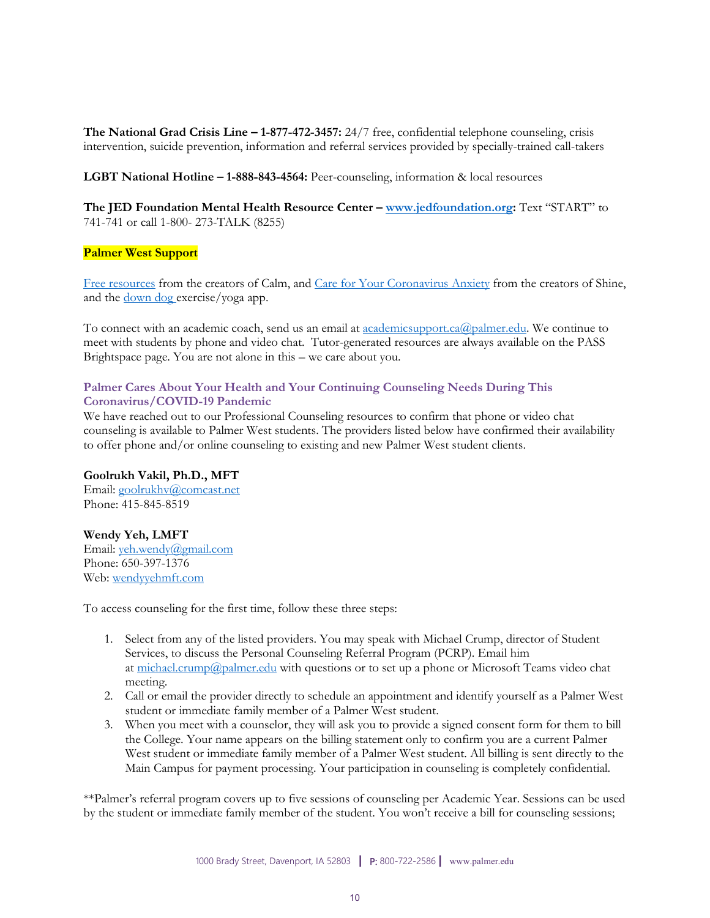**The National Grad Crisis Line – 1-877-472-3457:** 24/7 free, confidential telephone counseling, crisis intervention, suicide prevention, information and referral services provided by specially-trained call-takers

**LGBT National Hotline – 1-888-843-4564:** Peer-counseling, information & local resources

**The JED Foundation Mental Health Resource Center – [www.jedfoundation.org:](https://www.jedfoundation.org/)** Text "START" to 741-741 or call 1-800- 273-TALK (8255)

#### **Palmer West Support**

[Free resources](https://www.calm.com/blog/free-resources) from the creators of Calm, and [Care for Your Coronavirus Anxiety](https://www.virusanxiety.com/) from the creators of Shine, and the <u>[down dog](https://www.downdogapp.com/)</u> exercise/yoga app.

To connect with an academic coach, send us an email at <u>academicsupport.ca@palmer.edu</u>. We continue to meet with students by phone and video chat. Tutor-generated resources are always available on the PASS Brightspace page. You are not alone in this – we care about you.

### **Palmer Cares About Your Health and Your Continuing Counseling Needs During This Coronavirus/COVID-19 Pandemic**

We have reached out to our Professional Counseling resources to confirm that phone or video chat counseling is available to Palmer West students. The providers listed below have confirmed their availability to offer phone and/or online counseling to existing and new Palmer West student clients.

### **Goolrukh Vakil, Ph.D., MFT**

Email: [goolrukhv@comcast.net](mailto:goolrukhv@comcast.net) Phone: 415-845-8519

### **Wendy Yeh, LMFT**

Email: [yeh.wendy@gmail.com](mailto:yeh.wendy@gmail.com) Phone: 650-397-1376 Web: [wendyyehmft.com](https://wendyyehmft.com/)

To access counseling for the first time, follow these three steps:

- 1. Select from any of the listed providers. You may speak with Michael Crump, director of Student Services, to discuss the Personal Counseling Referral Program (PCRP). Email him at [michael.crump@palmer.edu](mailto:michael.crump@palmer.edu) with questions or to set up a phone or Microsoft Teams video chat meeting.
- 2. Call or email the provider directly to schedule an appointment and identify yourself as a Palmer West student or immediate family member of a Palmer West student.
- 3. When you meet with a counselor, they will ask you to provide a signed consent form for them to bill the College. Your name appears on the billing statement only to confirm you are a current Palmer West student or immediate family member of a Palmer West student. All billing is sent directly to the Main Campus for payment processing. Your participation in counseling is completely confidential.

\*\*Palmer's referral program covers up to five sessions of counseling per Academic Year. Sessions can be used by the student or immediate family member of the student. You won't receive a bill for counseling sessions;